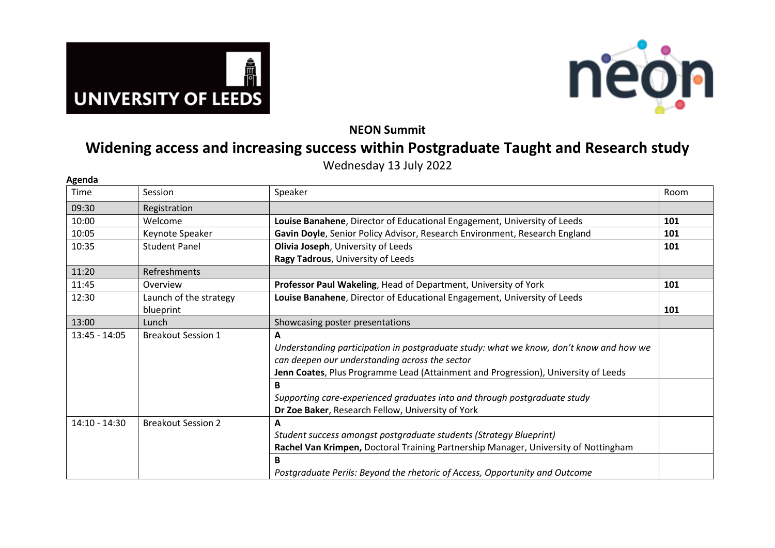



**NEON Summit** 

## **Widening access and increasing success within Postgraduate Taught and Research study**

Wednesday 13 July 2022

| Agenda          |                           |                                                                                        |      |
|-----------------|---------------------------|----------------------------------------------------------------------------------------|------|
| Time            | Session                   | Speaker                                                                                | Room |
| 09:30           | Registration              |                                                                                        |      |
| 10:00           | Welcome                   | Louise Banahene, Director of Educational Engagement, University of Leeds               | 101  |
| 10:05           | Keynote Speaker           | Gavin Doyle, Senior Policy Advisor, Research Environment, Research England             | 101  |
| 10:35           | <b>Student Panel</b>      | Olivia Joseph, University of Leeds                                                     | 101  |
|                 |                           | Ragy Tadrous, University of Leeds                                                      |      |
| 11:20           | <b>Refreshments</b>       |                                                                                        |      |
| 11:45           | Overview                  | Professor Paul Wakeling, Head of Department, University of York                        | 101  |
| 12:30           | Launch of the strategy    | Louise Banahene, Director of Educational Engagement, University of Leeds               |      |
|                 | blueprint                 |                                                                                        | 101  |
| 13:00           | Lunch                     | Showcasing poster presentations                                                        |      |
| 13:45 - 14:05   | <b>Breakout Session 1</b> | A                                                                                      |      |
|                 |                           | Understanding participation in postgraduate study: what we know, don't know and how we |      |
|                 |                           | can deepen our understanding across the sector                                         |      |
|                 |                           | Jenn Coates, Plus Programme Lead (Attainment and Progression), University of Leeds     |      |
|                 |                           | B                                                                                      |      |
|                 |                           | Supporting care-experienced graduates into and through postgraduate study              |      |
|                 |                           | Dr Zoe Baker, Research Fellow, University of York                                      |      |
| $14:10 - 14:30$ | <b>Breakout Session 2</b> | A                                                                                      |      |
|                 |                           | Student success amongst postgraduate students (Strategy Blueprint)                     |      |
|                 |                           | Rachel Van Krimpen, Doctoral Training Partnership Manager, University of Nottingham    |      |
|                 |                           | B                                                                                      |      |
|                 |                           | Postgraduate Perils: Beyond the rhetoric of Access, Opportunity and Outcome            |      |